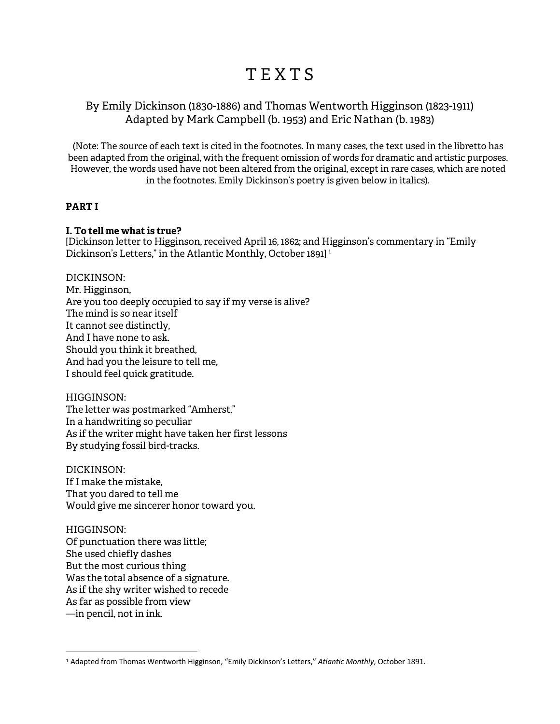# T E X T S

## By Emily Dickinson (1830-1886) and Thomas Wentworth Higginson (1823-1911) Adapted by Mark Campbell (b. 1953) and Eric Nathan (b. 1983)

(Note: The source of each text is cited in the footnotes. In many cases, the text used in the libretto has been adapted from the original, with the frequent omission of words for dramatic and artistic purposes. However, the words used have not been altered from the original, except in rare cases, which are noted in the footnotes. Emily Dickinson's poetry is given below in italics).

## **PART I**

## **I. To tell me what is true?**

[Dickinson letter to Higginson, received April 16, 1862; and Higginson's commentary in "Emily Dickinson's Letters," in the Atlantic Monthly, October 1891]<sup>1</sup>

#### DICKINSON:

Mr. Higginson, Are you too deeply occupied to say if my verse is alive? The mind is so near itself It cannot see distinctly, And I have none to ask. Should you think it breathed, And had you the leisure to tell me, I should feel quick gratitude.

#### HIGGINSON:

 $\overline{a}$ 

The letter was postmarked "Amherst," In a handwriting so peculiar As if the writer might have taken her first lessons By studying fossil bird-tracks.

DICKINSON: If I make the mistake, That you dared to tell me Would give me sincerer honor toward you.

HIGGINSON: Of punctuation there was little; She used chiefly dashes But the most curious thing Was the total absence of a signature. As if the shy writer wished to recede As far as possible from view —in pencil, not in ink.

<sup>1</sup> Adapted from Thomas Wentworth Higginson, "Emily Dickinson's Letters," *Atlantic Monthly*, October 1891.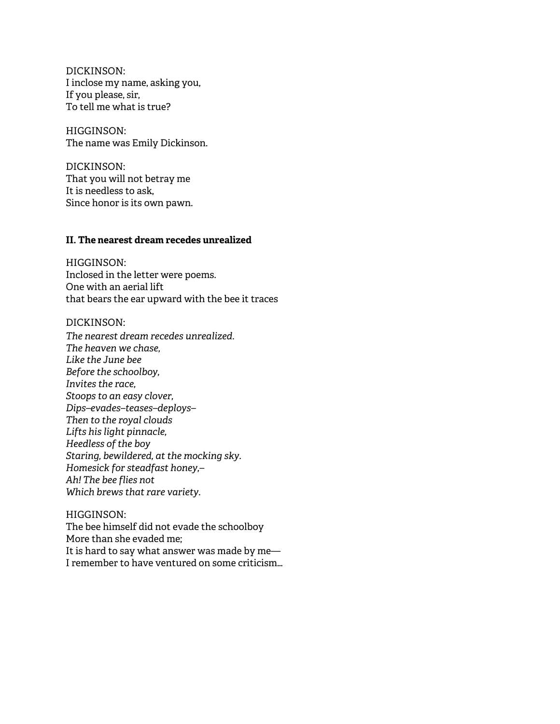DICKINSON: I inclose my name, asking you, If you please, sir, To tell me what is true?

HIGGINSON: The name was Emily Dickinson.

DICKINSON: That you will not betray me It is needless to ask, Since honor is its own pawn.

## **II. The nearest dream recedes unrealized**

HIGGINSON: Inclosed in the letter were poems. One with an aerial lift that bears the ear upward with the bee it traces

DICKINSON:

*The nearest dream recedes unrealized. The heaven we chase, Like the June bee Before the schoolboy, Invites the race, Stoops to an easy clover, Dips–evades–teases–deploys– Then to the royal clouds Lifts his light pinnacle, Heedless of the boy Staring, bewildered, at the mocking sky. Homesick for steadfast honey,– Ah! The bee flies not Which brews that rare variety.*

HIGGINSON: The bee himself did not evade the schoolboy More than she evaded me; It is hard to say what answer was made by me— I remember to have ventured on some criticism…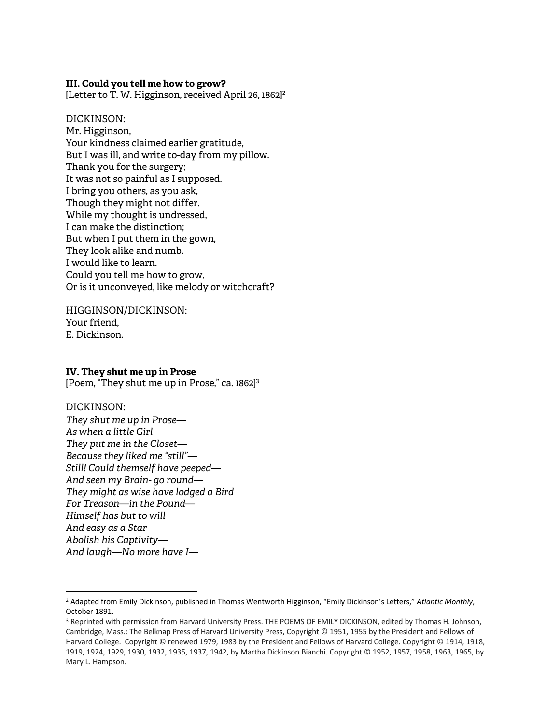#### **III. Could you tell me how to grow?**

[Letter to  $\overline{T}$ . W. Higginson, received April 26, 1862]<sup>2</sup>

DICKINSON: Mr. Higginson, Your kindness claimed earlier gratitude, But I was ill, and write to-day from my pillow. Thank you for the surgery; It was not so painful as I supposed. I bring you others, as you ask, Though they might not differ. While my thought is undressed, I can make the distinction; But when I put them in the gown, They look alike and numb. I would like to learn. Could you tell me how to grow, Or is it unconveyed, like melody or witchcraft?

HIGGINSON/DICKINSON: Your friend, E. Dickinson.

#### **IV. They shut me up in Prose**

[Poem, "They shut me up in Prose," ca. 1862]<sup>3</sup>

#### DICKINSON:

 $\overline{a}$ 

*They shut me up in Prose— As when a little Girl They put me in the Closet— Because they liked me "still"— Still! Could themself have peeped— And seen my Brain- go round— They might as wise have lodged a Bird For Treason—in the Pound— Himself has but to will And easy as a Star Abolish his Captivity— And laugh—No more have I—*

<sup>2</sup> Adapted from Emily Dickinson, published in Thomas Wentworth Higginson, "Emily Dickinson's Letters," *Atlantic Monthly*, October 1891.

<sup>3</sup> Reprinted with permission from Harvard University Press. THE POEMS OF EMILY DICKINSON, edited by Thomas H. Johnson, Cambridge, Mass.: The Belknap Press of Harvard University Press, Copyright © 1951, 1955 by the President and Fellows of Harvard College. Copyright © renewed 1979, 1983 by the President and Fellows of Harvard College. Copyright © 1914, 1918, 1919, 1924, 1929, 1930, 1932, 1935, 1937, 1942, by Martha Dickinson Bianchi. Copyright © 1952, 1957, 1958, 1963, 1965, by Mary L. Hampson.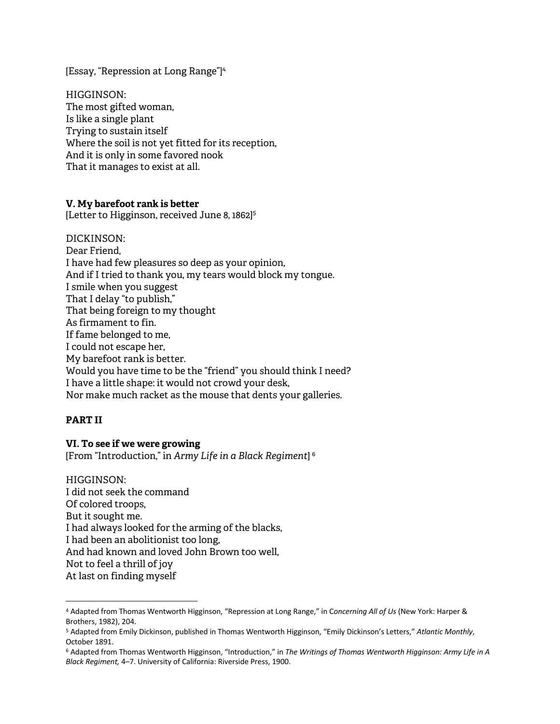[Essay, "Repression at Long Range"]<sup>4</sup>

HIGGINSON: The most gifted woman, Is like a single plant Trying to sustain itself Where the soil is not yet fitted for its reception, And it is only in some favored nook That it manages to exist at all.

## **V. My barefoot rank is better**

[Letter to Higginson, received June 8, 1862]<sup>5</sup>

DICKINSON: Dear Friend, I have had few pleasures so deep as your opinion, And if I tried to thank you, my tears would block my tongue. I smile when you suggest That I delay "to publish," That being foreign to my thought As firmament to fin. If fame belonged to me, I could not escape her, My barefoot rank is better. Would you have time to be the "friend" you should think I need? I have a little shape: it would not crowd your desk, Nor make much racket as the mouse that dents your galleries.

## **PART II**

 $\overline{a}$ 

#### **VI. To see if we were growing**

[From "Introduction," in *Army Life in a Black Regiment*] 6

HIGGINSON: I did not seek the command Of colored troops, But it sought me. I had always looked for the arming of the blacks, I had been an abolitionist too long, And had known and loved John Brown too well, Not to feel a thrill of joy At last on finding myself

<sup>4</sup> Adapted from Thomas Wentworth Higginson, "Repression at Long Range," in C*oncerning All of Us* (New York: Harper & Brothers, 1982), 204.

<sup>5</sup> Adapted from Emily Dickinson, published in Thomas Wentworth Higginson, "Emily Dickinson's Letters," *Atlantic Monthly*, October 1891.

<sup>6</sup> Adapted from Thomas Wentworth Higginson, "Introduction," in *The Writings of Thomas Wentworth Higginson: Army Life in A Black Regiment,* 4–7. University of California: Riverside Press, 1900.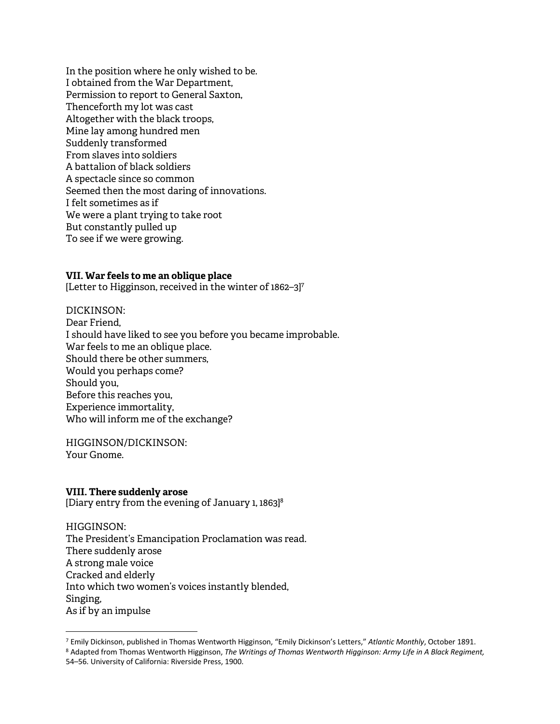In the position where he only wished to be. I obtained from the War Department, Permission to report to General Saxton, Thenceforth my lot was cast Altogether with the black troops, Mine lay among hundred men Suddenly transformed From slaves into soldiers A battalion of black soldiers A spectacle since so common Seemed then the most daring of innovations. I felt sometimes as if We were a plant trying to take root But constantly pulled up To see if we were growing.

#### **VII. War feels to me an oblique place**

[Letter to Higginson, received in the winter of 1862–3]7

#### DICKINSON:

Dear Friend, I should have liked to see you before you became improbable. War feels to me an oblique place. Should there be other summers, Would you perhaps come? Should you, Before this reaches you, Experience immortality, Who will inform me of the exchange?

HIGGINSON/DICKINSON: Your Gnome.

#### **VIII. There suddenly arose**

 $\overline{a}$ 

[Diary entry from the evening of January 1, 1863]8

HIGGINSON: The President's Emancipation Proclamation was read. There suddenly arose A strong male voice Cracked and elderly Into which two women's voices instantly blended, Singing, As if by an impulse

<sup>8</sup> Adapted from Thomas Wentworth Higginson, *The Writings of Thomas Wentworth Higginson: Army Life in A Black Regiment,* 54–56. University of California: Riverside Press, 1900.

<sup>7</sup> Emily Dickinson, published in Thomas Wentworth Higginson, "Emily Dickinson's Letters," *Atlantic Monthly*, October 1891.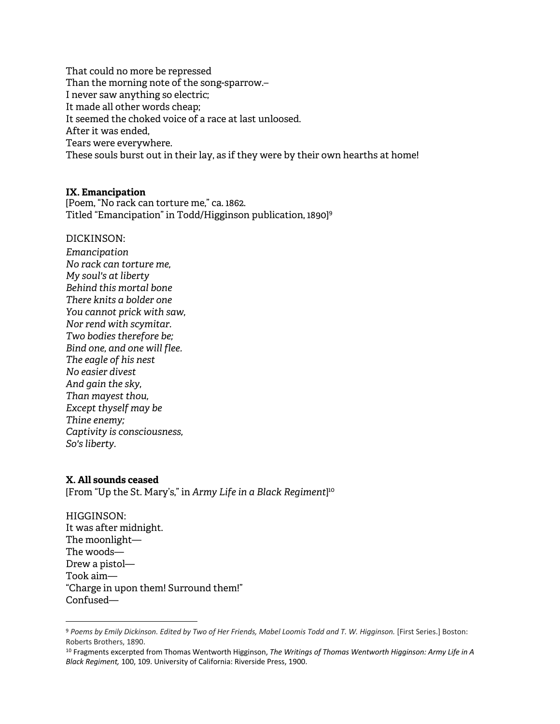That could no more be repressed Than the morning note of the song-sparrow.– I never saw anything so electric; It made all other words cheap; It seemed the choked voice of a race at last unloosed. After it was ended, Tears were everywhere. These souls burst out in their lay, as if they were by their own hearths at home!

## **IX. Emancipation**

[Poem, "No rack can torture me," ca. 1862. Titled "Emancipation" in Todd/Higginson publication, 1890] 9

DICKINSON:

*Emancipation No rack can torture me, My soul's at liberty Behind this mortal bone There knits a bolder one You cannot prick with saw, Nor rend with scymitar. Two bodies therefore be; Bind one, and one will flee. The eagle of his nest No easier divest And gain the sky, Than mayest thou, Except thyself may be Thine enemy; Captivity is consciousness, So's liberty.*

## **X. All sounds ceased**

 $\overline{a}$ 

[From "Up the St. Mary's," in *Army Life in a Black Regiment*] 10

HIGGINSON: It was after midnight. The moonlight— The woods— Drew a pistol— Took aim— "Charge in upon them! Surround them!" Confused—

<sup>9</sup> *Poems by Emily Dickinson. Edited by Two of Her Friends, Mabel Loomis Todd and T. W. Higginson.* [First Series.] Boston: Roberts Brothers, 1890.

<sup>10</sup> Fragments excerpted from Thomas Wentworth Higginson, *The Writings of Thomas Wentworth Higginson: Army Life in A Black Regiment,* 100, 109. University of California: Riverside Press, 1900.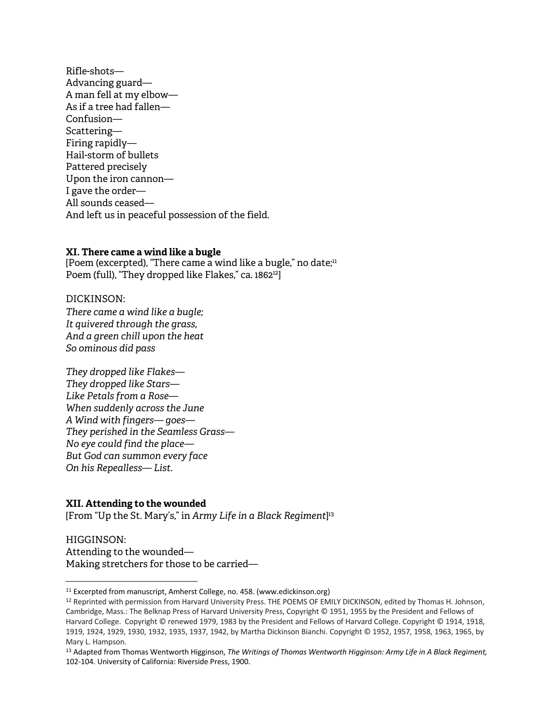Rifle-shots— Advancing guard— A man fell at my elbow— As if a tree had fallen— Confusion— Scattering— Firing rapidly— Hail-storm of bullets Pattered precisely Upon the iron cannon— I gave the order— All sounds ceased— And left us in peaceful possession of the field.

#### **XI. There came a wind like a bugle**

[Poem (excerpted), "There came a wind like a bugle," no date; $11$ Poem (full), "They dropped like Flakes," ca. 1862<sup>12</sup>]

DICKINSON: *There came a wind like a bugle; It quivered through the grass, And a green chill upon the heat So ominous did pass*

*They dropped like Flakes— They dropped like Stars— Like Petals from a Rose— When suddenly across the June A Wind with fingers— goes— They perished in the Seamless Grass— No eye could find the place— But God can summon every face On his Repealless— List.*

#### **XII. Attending to the wounded**

 $\overline{a}$ 

[From "Up the St. Mary's," in *Army Life in a Black Regiment*] 13

HIGGINSON: Attending to the wounded— Making stretchers for those to be carried—

<sup>&</sup>lt;sup>11</sup> Excerpted from manuscript, Amherst College, no. 458. (www.edickinson.org)

<sup>12</sup> Reprinted with permission from Harvard University Press. THE POEMS OF EMILY DICKINSON, edited by Thomas H. Johnson, Cambridge, Mass.: The Belknap Press of Harvard University Press, Copyright © 1951, 1955 by the President and Fellows of Harvard College. Copyright © renewed 1979, 1983 by the President and Fellows of Harvard College. Copyright © 1914, 1918, 1919, 1924, 1929, 1930, 1932, 1935, 1937, 1942, by Martha Dickinson Bianchi. Copyright © 1952, 1957, 1958, 1963, 1965, by Mary L. Hampson.

<sup>13</sup> Adapted from Thomas Wentworth Higginson, *The Writings of Thomas Wentworth Higginson: Army Life in A Black Regiment,* 102-104. University of California: Riverside Press, 1900.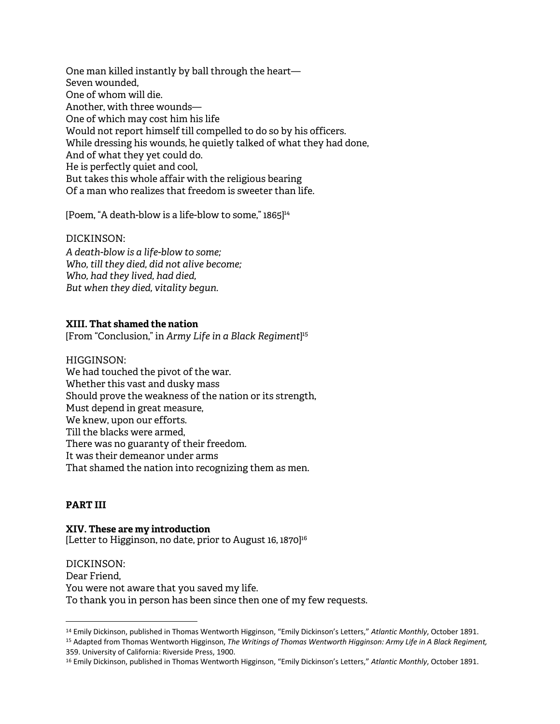One man killed instantly by ball through the heart— Seven wounded, One of whom will die. Another, with three wounds— One of which may cost him his life Would not report himself till compelled to do so by his officers. While dressing his wounds, he quietly talked of what they had done, And of what they yet could do. He is perfectly quiet and cool, But takes this whole affair with the religious bearing Of a man who realizes that freedom is sweeter than life.

[Poem, "A death-blow is a life-blow to some,"  $1865$ ]<sup>14</sup>

## DICKINSON:

*A death-blow is a life-blow to some; Who, till they died, did not alive become; Who, had they lived, had died, But when they died, vitality begun.*

## **XIII. That shamed the nation**

[From "Conclusion," in *Army Life in a Black Regiment*] 15

#### HIGGINSON:

We had touched the pivot of the war. Whether this vast and dusky mass Should prove the weakness of the nation or its strength, Must depend in great measure, We knew, upon our efforts. Till the blacks were armed, There was no guaranty of their freedom. It was their demeanor under arms That shamed the nation into recognizing them as men.

## **PART III**

 $\overline{a}$ 

**XIV. These are my introduction** [Letter to Higginson, no date, prior to August 16, 1870]<sup>16</sup>

DICKINSON: Dear Friend, You were not aware that you saved my life. To thank you in person has been since then one of my few requests.

<sup>14</sup> Emily Dickinson, published in Thomas Wentworth Higginson, "Emily Dickinson's Letters," *Atlantic Monthly*, October 1891.

<sup>15</sup> Adapted from Thomas Wentworth Higginson, *The Writings of Thomas Wentworth Higginson: Army Life in A Black Regiment,* 359. University of California: Riverside Press, 1900.

<sup>16</sup> Emily Dickinson, published in Thomas Wentworth Higginson, "Emily Dickinson's Letters," *Atlantic Monthly*, October 1891.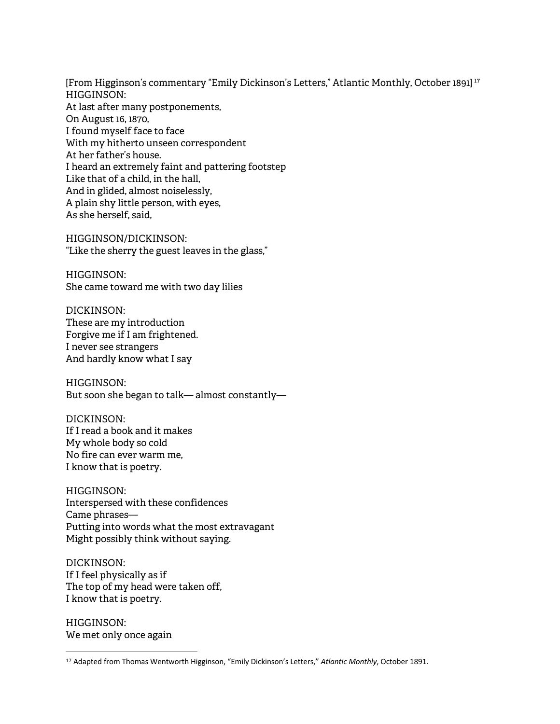[From Higginson's commentary "Emily Dickinson's Letters," Atlantic Monthly, October 1891] 17 HIGGINSON: At last after many postponements, On August 16, 1870, I found myself face to face With my hitherto unseen correspondent At her father's house. I heard an extremely faint and pattering footstep Like that of a child, in the hall, And in glided, almost noiselessly, A plain shy little person, with eyes, As she herself, said,

HIGGINSON/DICKINSON: "Like the sherry the guest leaves in the glass,"

HIGGINSON: She came toward me with two day lilies

DICKINSON: These are my introduction Forgive me if I am frightened. I never see strangers And hardly know what I say

HIGGINSON: But soon she began to talk— almost constantly—

DICKINSON: If I read a book and it makes My whole body so cold No fire can ever warm me, I know that is poetry.

HIGGINSON: Interspersed with these confidences Came phrases— Putting into words what the most extravagant Might possibly think without saying.

DICKINSON: If I feel physically as if The top of my head were taken off, I know that is poetry.

HIGGINSON: We met only once again

 $\overline{a}$ 

<sup>17</sup> Adapted from Thomas Wentworth Higginson, "Emily Dickinson's Letters," *Atlantic Monthly*, October 1891.